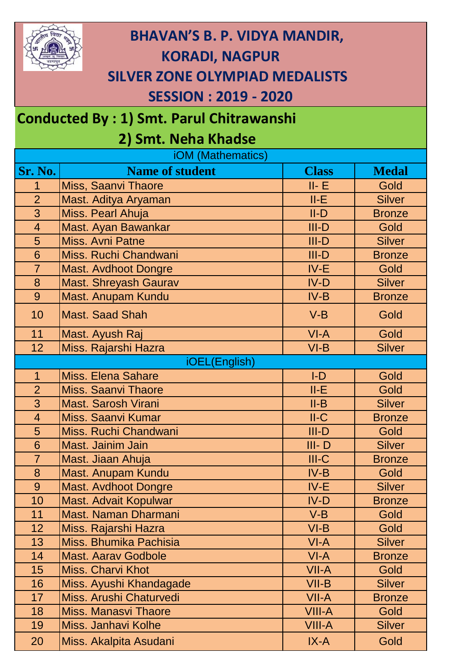

## **BHAVAN'S B. P. VIDYA MANDIR, KORADI, NAGPUR SILVER ZONE OLYMPIAD MEDALISTS SESSION : 2019 - 2020**

## **Conducted By : 1) Smt. Parul Chitrawanshi**

 **2) Smt. Neha Khadse**

iOM (Mathematics)

| Sr. No.         | <b>Name of student</b>      | <b>Class</b>  | <b>Medal</b>  |  |
|-----------------|-----------------------------|---------------|---------------|--|
| 1               | Miss, Saanvi Thaore         | $II - E$      | Gold          |  |
| $\overline{2}$  | Mast. Aditya Aryaman        | $II-E$        | <b>Silver</b> |  |
| $\overline{3}$  | Miss. Pearl Ahuja           | $II-D$        | <b>Bronze</b> |  |
| $\overline{4}$  | Mast. Ayan Bawankar         | $III-D$       | Gold          |  |
| 5               | Miss. Avni Patne            | $III-D$       | <b>Silver</b> |  |
| $6\overline{6}$ | Miss. Ruchi Chandwani       | $III-D$       | <b>Bronze</b> |  |
| $\overline{7}$  | <b>Mast. Avdhoot Dongre</b> | $IV-E$        | Gold          |  |
| 8               | Mast. Shreyash Gaurav       | $IV-D$        | <b>Silver</b> |  |
| 9               | Mast. Anupam Kundu          | $IV-B$        | <b>Bronze</b> |  |
| 10              | <b>Mast. Saad Shah</b>      | $V-B$         | Gold          |  |
| 11              | Mast. Ayush Raj             | $VI-A$        | Gold          |  |
| 12 <sub>2</sub> | Miss. Rajarshi Hazra        | $VI-B$        | <b>Silver</b> |  |
| iOEL(English)   |                             |               |               |  |
| $\mathbf 1$     | <b>Miss. Elena Sahare</b>   | $I-D$         | Gold          |  |
| $\overline{2}$  | <b>Miss. Saanvi Thaore</b>  | $II-E$        | Gold          |  |
| 3               | Mast. Sarosh Virani         | $II-B$        | <b>Silver</b> |  |
| $\overline{4}$  | Miss. Saanvi Kumar          | $II-C$        | <b>Bronze</b> |  |
| 5               | Miss. Ruchi Chandwani       | $III-D$       | Gold          |  |
| 6               | Mast. Jainim Jain           | $III - D$     | <b>Silver</b> |  |
| $\overline{7}$  | Mast. Jiaan Ahuja           | $III-C$       | <b>Bronze</b> |  |
| 8               | Mast. Anupam Kundu          | $IV-B$        | Gold          |  |
| 9               | <b>Mast. Avdhoot Dongre</b> | $IV-E$        | <b>Silver</b> |  |
| 10              | Mast. Advait Kopulwar       | $IV-D$        | <b>Bronze</b> |  |
| 11              | Mast. Naman Dharmani        | $V-B$         | Gold          |  |
| 12 <sub>2</sub> | Miss. Rajarshi Hazra        | $VI-B$        | Gold          |  |
| 13              | Miss. Bhumika Pachisia      | $VI-A$        | <b>Silver</b> |  |
| 14              | <b>Mast. Aarav Godbole</b>  | VI-A          | <b>Bronze</b> |  |
| 15              | Miss. Charvi Khot           | <b>VII-A</b>  | <b>Gold</b>   |  |
| 16              | Miss. Ayushi Khandagade     | VII-B         | <b>Silver</b> |  |
| 17              | Miss. Arushi Chaturvedi     | <b>VII-A</b>  | <b>Bronze</b> |  |
| 18              | <b>Miss. Manasvi Thaore</b> | <b>VIII-A</b> | Gold          |  |
| 19              | Miss. Janhavi Kolhe         | <b>VIII-A</b> | <b>Silver</b> |  |
| 20              | Miss. Akalpita Asudani      | $IX-A$        | Gold          |  |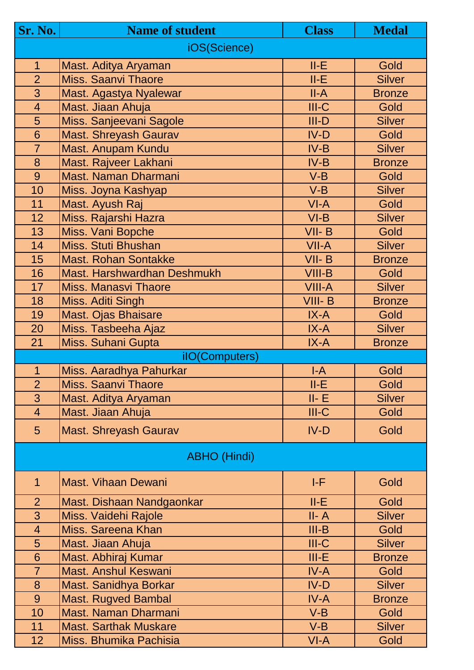| Sr. No.                  | <b>Name of student</b>       | <b>Class</b>  | <b>Medal</b>  |  |
|--------------------------|------------------------------|---------------|---------------|--|
| iOS(Science)             |                              |               |               |  |
| $\mathbf 1$              | Mast. Aditya Aryaman         | $II-E$        | Gold          |  |
| $\overline{2}$           | <b>Miss. Saanvi Thaore</b>   | $II-E$        | <b>Silver</b> |  |
| 3                        | Mast. Agastya Nyalewar       | $II-A$        | <b>Bronze</b> |  |
| $\overline{4}$           | Mast. Jiaan Ahuja            | $III-C$       | Gold          |  |
| 5                        | Miss. Sanjeevani Sagole      | $III-D$       | <b>Silver</b> |  |
| 6                        | <b>Mast. Shreyash Gaurav</b> | IV-D          | Gold          |  |
| $\overline{7}$           | Mast. Anupam Kundu           | $IV-B$        | <b>Silver</b> |  |
| 8                        | Mast. Rajveer Lakhani        | $IV-B$        | <b>Bronze</b> |  |
| 9                        | Mast. Naman Dharmani         | $V-B$         | Gold          |  |
| 10                       | Miss. Joyna Kashyap          | $V-B$         | <b>Silver</b> |  |
| 11                       | Mast. Ayush Raj              | $VI-A$        | Gold          |  |
| 12                       | Miss. Rajarshi Hazra         | $VI-B$        | <b>Silver</b> |  |
| 13                       | Miss. Vani Bopche            | $VII - B$     | Gold          |  |
| 14                       | <b>Miss. Stuti Bhushan</b>   | <b>VII-A</b>  | <b>Silver</b> |  |
| 15                       | <b>Mast. Rohan Sontakke</b>  | VII-B         | <b>Bronze</b> |  |
| 16                       | Mast. Harshwardhan Deshmukh  | <b>VIII-B</b> | Gold          |  |
| 17                       | <b>Miss. Manasvi Thaore</b>  | <b>VIII-A</b> | <b>Silver</b> |  |
| 18                       | Miss. Aditi Singh            | <b>VIII-B</b> | <b>Bronze</b> |  |
| 19                       | Mast. Ojas Bhaisare          | $IX-A$        | Gold          |  |
| 20                       | Miss. Tasbeeha Ajaz          | $IX-A$        | <b>Silver</b> |  |
| 21                       | Miss. Suhani Gupta           | $IX-A$        | <b>Bronze</b> |  |
|                          | ilO(Computers)               |               |               |  |
| $\mathbf{1}$             | Miss. Aaradhya Pahurkar      | I-A           | Gold          |  |
| $\overline{2}$           | <b>Miss. Saanvi Thaore</b>   | $II-E$        | Gold          |  |
| 3                        | Mast. Aditya Aryaman         | $II - E$      | <b>Silver</b> |  |
| $\overline{4}$           | Mast. Jiaan Ahuja            | $III-C$       | Gold          |  |
| $5\overline{)}$          | <b>Mast. Shreyash Gaurav</b> | $IV-D$        | Gold          |  |
| <b>ABHO (Hindi)</b>      |                              |               |               |  |
| $\mathbf{1}$             | <b>Mast. Vihaan Dewani</b>   | I-F           | Gold          |  |
| $\overline{2}$           | Mast. Dishaan Nandgaonkar    | $II-E$        | Gold          |  |
| 3                        | Miss. Vaidehi Rajole         | $II - A$      | <b>Silver</b> |  |
| $\overline{\mathcal{A}}$ | Miss. Sareena Khan           | $III-B$       | Gold          |  |
| 5                        | Mast. Jiaan Ahuja            | $III-C$       | <b>Silver</b> |  |
| $6\phantom{1}$           | Mast. Abhiraj Kumar          | $III-E$       | <b>Bronze</b> |  |
| $\overline{7}$           | Mast. Anshul Keswani         | IV-A          | <b>Gold</b>   |  |
| 8                        | Mast. Sanidhya Borkar        | $IV-D$        | <b>Silver</b> |  |
| 9                        | <b>Mast. Rugved Bambal</b>   | $IV-A$        | <b>Bronze</b> |  |
| 10                       | Mast. Naman Dharmani         | $V-B$         | <b>Gold</b>   |  |
| 11                       | <b>Mast. Sarthak Muskare</b> | $V-B$         | <b>Silver</b> |  |
| 12 <sub>2</sub>          | Miss. Bhumika Pachisia       | $VI-A$        | Gold          |  |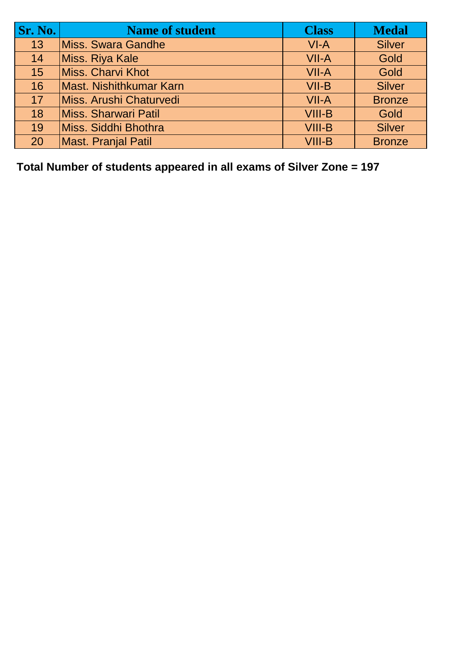| <b>Sr. No.</b>  | <b>Name of student</b>         | <b>Class</b>  | <b>Medal</b>  |
|-----------------|--------------------------------|---------------|---------------|
| 13              | Miss. Swara Gandhe             | $VI-A$        | <b>Silver</b> |
| 14 <sub>l</sub> | Miss. Riya Kale                | VII-A         | Gold          |
| 15              | <b>Miss. Charvi Khot</b>       | <b>VII-A</b>  | Gold          |
| 16              | <b>Mast. Nishithkumar Karn</b> | $VII-B$       | <b>Silver</b> |
| 17              | Miss. Arushi Chaturvedi        | <b>VII-A</b>  | <b>Bronze</b> |
| 18              | <b>Miss. Sharwari Patil</b>    | <b>VIII-B</b> | Gold          |
| 19              | Miss. Siddhi Bhothra           | <b>VIII-B</b> | <b>Silver</b> |
| 20              | <b>Mast. Pranjal Patil</b>     | <b>VIII-B</b> | <b>Bronze</b> |

**Total Number of students appeared in all exams of Silver Zone = 197**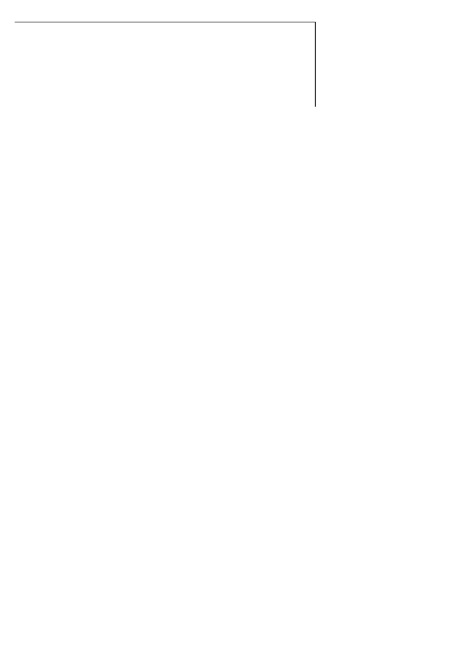